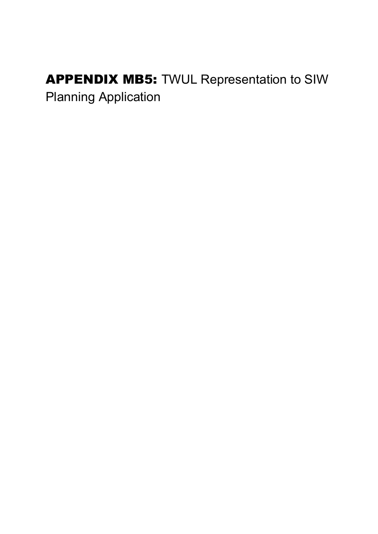## APPENDIX MB5: TWUL Representation to SIW Planning Application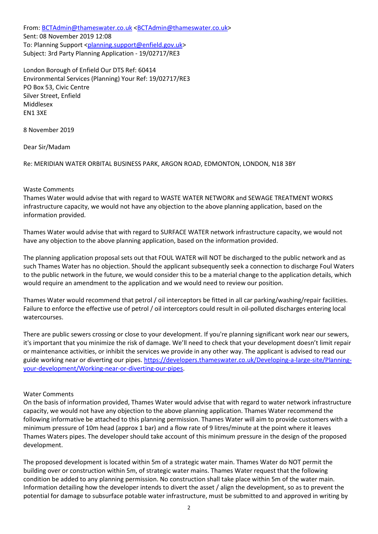From: BCTAdmin@thameswater.co.uk <BCTAdmin@thameswater.co.uk> Sent: 08 November 2019 12:08 To: Planning Support <planning.support@enfield.gov.uk> Subject: 3rd Party Planning Application - 19/02717/RE3

London Borough of Enfield Our DTS Ref: 60414 Environmental Services (Planning) Your Ref: 19/02717/RE3 PO Box 53, Civic Centre Silver Street, Enfield Middlesex EN1 3XE

8 November 2019

Dear Sir/Madam

Re: MERIDIAN WATER ORBITAL BUSINESS PARK, ARGON ROAD, EDMONTON, LONDON, N18 3BY

## Waste Comments

Thames Water would advise that with regard to WASTE WATER NETWORK and SEWAGE TREATMENT WORKS infrastructure capacity, we would not have any objection to the above planning application, based on the information provided.

Thames Water would advise that with regard to SURFACE WATER network infrastructure capacity, we would not have any objection to the above planning application, based on the information provided.

The planning application proposal sets out that FOUL WATER will NOT be discharged to the public network and as such Thames Water has no objection. Should the applicant subsequently seek a connection to discharge Foul Waters to the public network in the future, we would consider this to be a material change to the application details, which would require an amendment to the application and we would need to review our position.

Thames Water would recommend that petrol / oil interceptors be fitted in all car parking/washing/repair facilities. Failure to enforce the effective use of petrol / oil interceptors could result in oil-polluted discharges entering local watercourses.

There are public sewers crossing or close to your development. If you're planning significant work near our sewers, it's important that you minimize the risk of damage. We'll need to check that your development doesn't limit repair or maintenance activities, or inhibit the services we provide in any other way. The applicant is advised to read our guide working near or diverting our pipes. https://developers.thameswater.co.uk/Developing-a-large-site/Planningyour-development/Working-near-or-diverting-our-pipes.

## Water Comments

On the basis of information provided, Thames Water would advise that with regard to water network infrastructure capacity, we would not have any objection to the above planning application. Thames Water recommend the following informative be attached to this planning permission. Thames Water will aim to provide customers with a minimum pressure of 10m head (approx 1 bar) and a flow rate of 9 litres/minute at the point where it leaves Thames Waters pipes. The developer should take account of this minimum pressure in the design of the proposed development.

The proposed development is located within 5m of a strategic water main. Thames Water do NOT permit the building over or construction within 5m, of strategic water mains. Thames Water request that the following condition be added to any planning permission. No construction shall take place within 5m of the water main. Information detailing how the developer intends to divert the asset / align the development, so as to prevent the potential for damage to subsurface potable water infrastructure, must be submitted to and approved in writing by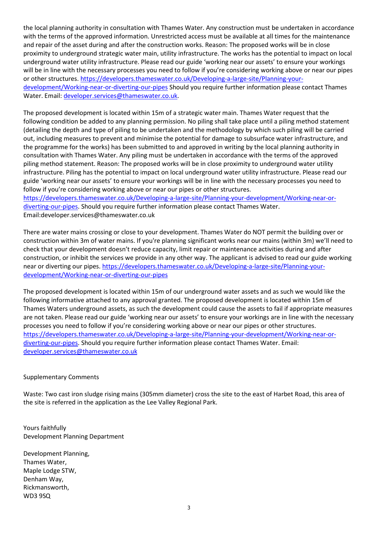the local planning authority in consultation with Thames Water. Any construction must be undertaken in accordance with the terms of the approved information. Unrestricted access must be available at all times for the maintenance and repair of the asset during and after the construction works. Reason: The proposed works will be in close proximity to underground strategic water main, utility infrastructure. The works has the potential to impact on local underground water utility infrastructure. Please read our guide 'working near our assets' to ensure your workings will be in line with the necessary processes you need to follow if you're considering working above or near our pipes or other structures. https://developers.thameswater.co.uk/Developing-a-large-site/Planning-yourdevelopment/Working-near-or-diverting-our-pipes Should you require further information please contact Thames Water. Email: developer.services@thameswater.co.uk.

The proposed development is located within 15m of a strategic water main. Thames Water request that the following condition be added to any planning permission. No piling shall take place until a piling method statement (detailing the depth and type of piling to be undertaken and the methodology by which such piling will be carried out, including measures to prevent and minimise the potential for damage to subsurface water infrastructure, and the programme for the works) has been submitted to and approved in writing by the local planning authority in consultation with Thames Water. Any piling must be undertaken in accordance with the terms of the approved piling method statement. Reason: The proposed works will be in close proximity to underground water utility infrastructure. Piling has the potential to impact on local underground water utility infrastructure. Please read our guide 'working near our assets' to ensure your workings will be in line with the necessary processes you need to follow if you're considering working above or near our pipes or other structures.

https://developers.thameswater.co.uk/Developing-a-large-site/Planning-your-development/Working-near-ordiverting-our-pipes. Should you require further information please contact Thames Water. Email:developer.services@thameswater.co.uk

There are water mains crossing or close to your development. Thames Water do NOT permit the building over or construction within 3m of water mains. If you're planning significant works near our mains (within 3m) we'll need to check that your development doesn't reduce capacity, limit repair or maintenance activities during and after construction, or inhibit the services we provide in any other way. The applicant is advised to read our guide working near or diverting our pipes. https://developers.thameswater.co.uk/Developing-a-large-site/Planning-yourdevelopment/Working-near-or-diverting-our-pipes

The proposed development is located within 15m of our underground water assets and as such we would like the following informative attached to any approval granted. The proposed development is located within 15m of Thames Waters underground assets, as such the development could cause the assets to fail if appropriate measures are not taken. Please read our guide 'working near our assets' to ensure your workings are in line with the necessary processes you need to follow if you're considering working above or near our pipes or other structures. https://developers.thameswater.co.uk/Developing-a-large-site/Planning-your-development/Working-near-ordiverting-our-pipes. Should you require further information please contact Thames Water. Email: developer.services@thameswater.co.uk

## Supplementary Comments

Waste: Two cast iron sludge rising mains (305mm diameter) cross the site to the east of Harbet Road, this area of the site is referred in the application as the Lee Valley Regional Park.

Yours faithfully Development Planning Department

Development Planning, Thames Water, Maple Lodge STW, Denham Way, Rickmansworth, WD3 9SQ